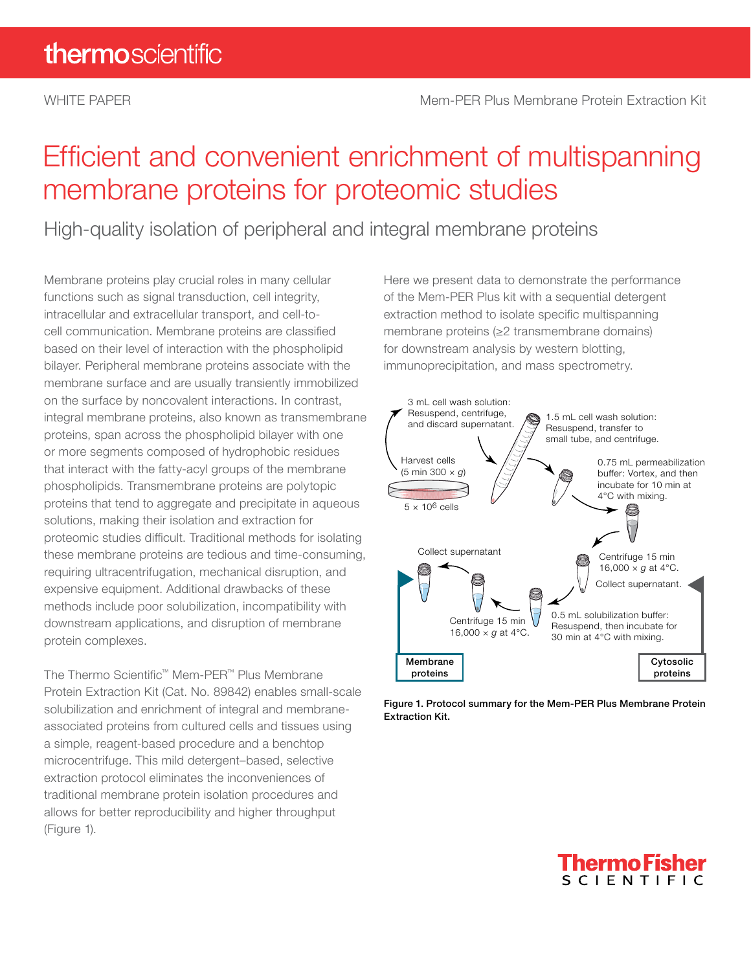# Efficient and convenient enrichment of multispanning membrane proteins for proteomic studies

High-quality isolation of peripheral and integral membrane proteins

Membrane proteins play crucial roles in many cellular functions such as signal transduction, cell integrity, intracellular and extracellular transport, and cell-tocell communication. Membrane proteins are classified based on their level of interaction with the phospholipid bilayer. Peripheral membrane proteins associate with the membrane surface and are usually transiently immobilized on the surface by noncovalent interactions. In contrast, integral membrane proteins, also known as transmembrane proteins, span across the phospholipid bilayer with one or more segments composed of hydrophobic residues that interact with the fatty-acyl groups of the membrane phospholipids. Transmembrane proteins are polytopic proteins that tend to aggregate and precipitate in aqueous solutions, making their isolation and extraction for proteomic studies difficult. Traditional methods for isolating these membrane proteins are tedious and time-consuming, requiring ultracentrifugation, mechanical disruption, and expensive equipment. Additional drawbacks of these methods include poor solubilization, incompatibility with downstream applications, and disruption of membrane protein complexes.

The Thermo Scientific™ Mem-PER™ Plus Membrane Protein Extraction Kit (Cat. No. 89842) enables small-scale solubilization and enrichment of integral and membraneassociated proteins from cultured cells and tissues using a simple, reagent-based procedure and a benchtop microcentrifuge. This mild detergent–based, selective extraction protocol eliminates the inconveniences of traditional membrane protein isolation procedures and allows for better reproducibility and higher throughput (Figure 1).

Here we present data to demonstrate the performance of the Mem-PER Plus kit with a sequential detergent extraction method to isolate specific multispanning membrane proteins (≥2 transmembrane domains) for downstream analysis by western blotting, immunoprecipitation, and mass spectrometry.



Figure 1. Protocol summary for the Mem-PER Plus Membrane Protein Extraction Kit.

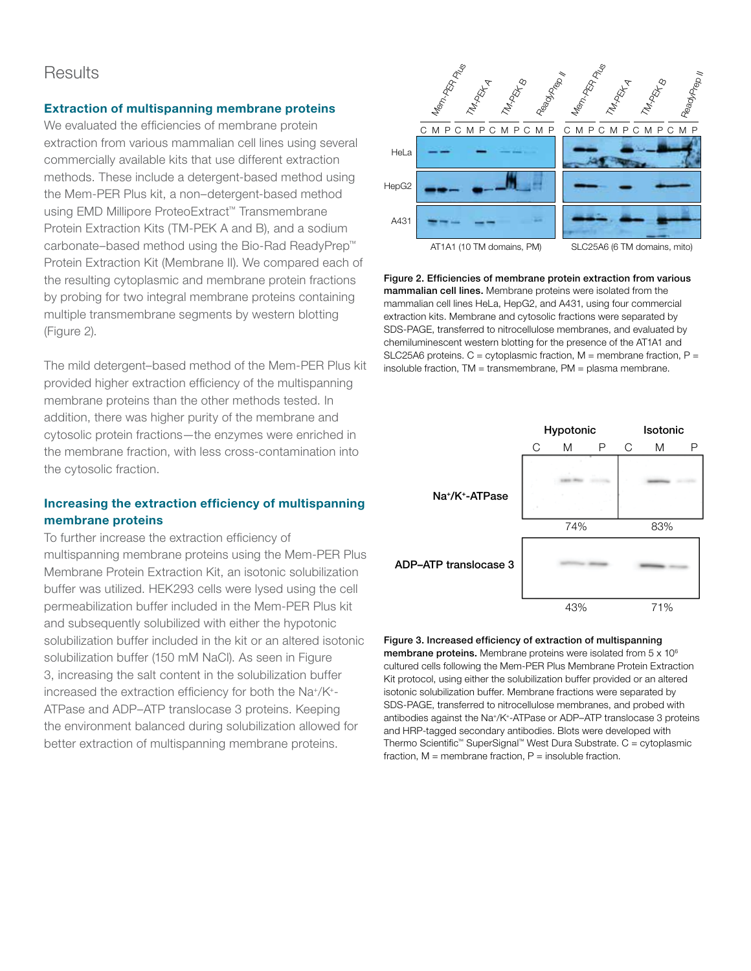### **Results**

### Extraction of multispanning membrane proteins

We evaluated the efficiencies of membrane protein extraction from various mammalian cell lines using several commercially available kits that use different extraction methods. These include a detergent-based method using the Mem-PER Plus kit, a non–detergent-based method using EMD Millipore ProteoExtract™ Transmembrane Protein Extraction Kits (TM-PEK A and B), and a sodium carbonate–based method using the Bio-Rad ReadyPrep™ Protein Extraction Kit (Membrane II). We compared each of the resulting cytoplasmic and membrane protein fractions by probing for two integral membrane proteins containing multiple transmembrane segments by western blotting (Figure 2).

The mild detergent–based method of the Mem-PER Plus kit provided higher extraction efficiency of the multispanning membrane proteins than the other methods tested. In addition, there was higher purity of the membrane and cytosolic protein fractions—the enzymes were enriched in the membrane fraction, with less cross-contamination into the cytosolic fraction.

### Increasing the extraction efficiency of multispanning membrane proteins

To further increase the extraction efficiency of multispanning membrane proteins using the Mem-PER Plus Membrane Protein Extraction Kit, an isotonic solubilization buffer was utilized. HEK293 cells were lysed using the cell permeabilization buffer included in the Mem-PER Plus kit and subsequently solubilized with either the hypotonic solubilization buffer included in the kit or an altered isotonic solubilization buffer (150 mM NaCl). As seen in Figure 3, increasing the salt content in the solubilization buffer increased the extraction efficiency for both the Na+/K+- ATPase and ADP–ATP translocase 3 proteins. Keeping the environment balanced during solubilization allowed for better extraction of multispanning membrane proteins.



Figure 2. Efficiencies of membrane protein extraction from various mammalian cell lines. Membrane proteins were isolated from the mammalian cell lines HeLa, HepG2, and A431, using four commercial extraction kits. Membrane and cytosolic fractions were separated by SDS-PAGE, transferred to nitrocellulose membranes, and evaluated by chemiluminescent western blotting for the presence of the AT1A1 and SLC25A6 proteins.  $C =$  cytoplasmic fraction,  $M =$  membrane fraction,  $P =$ insoluble fraction, TM = transmembrane, PM = plasma membrane.



Figure 3. Increased efficiency of extraction of multispanning membrane proteins. Membrane proteins were isolated from 5 x 10<sup>6</sup> cultured cells following the Mem-PER Plus Membrane Protein Extraction Kit protocol, using either the solubilization buffer provided or an altered isotonic solubilization buffer. Membrane fractions were separated by SDS-PAGE, transferred to nitrocellulose membranes, and probed with antibodies against the Na+/K+-ATPase or ADP–ATP translocase 3 proteins and HRP-tagged secondary antibodies. Blots were developed with Thermo Scientific™ SuperSignal™ West Dura Substrate. C = cytoplasmic fraction,  $M =$  membrane fraction,  $P =$  insoluble fraction.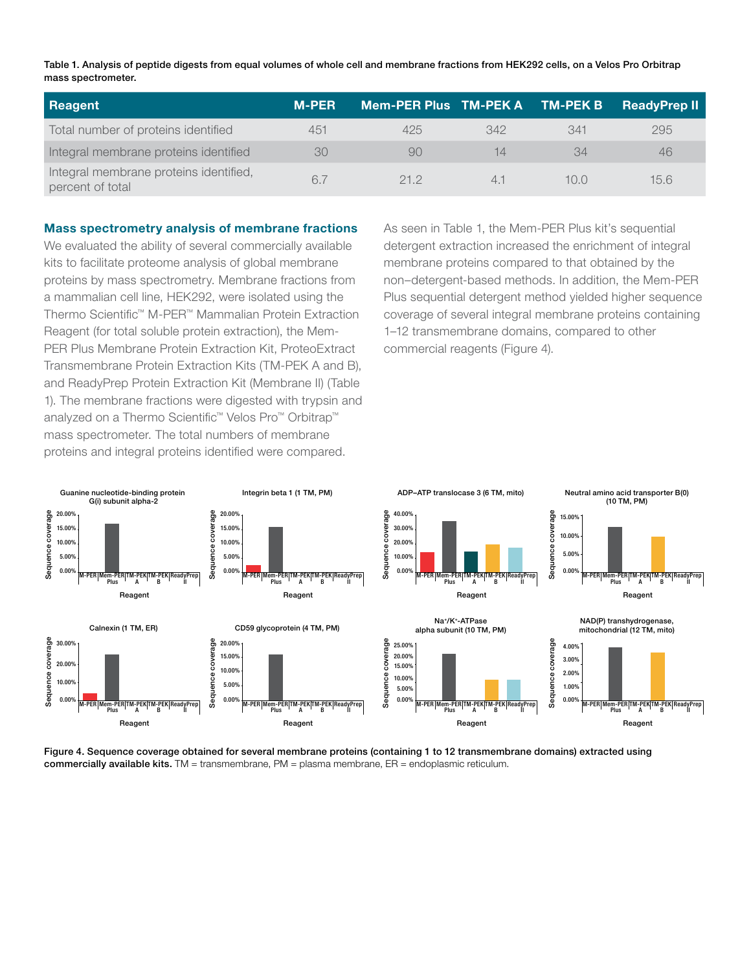Table 1. Analysis of peptide digests from equal volumes of whole cell and membrane fractions from HEK292 cells, on a Velos Pro Orbitrap mass spectrometer.

| Reagent                                                    | <b>M-PER</b> | Mem-PER Plus TM-PEK A TM-PEK B |            |      | <b>ReadyPrep II</b> |
|------------------------------------------------------------|--------------|--------------------------------|------------|------|---------------------|
| Total number of proteins identified                        | 451          | 425                            | 342        | 341  | 295                 |
| Integral membrane proteins identified                      | 30           | 90                             | 14         | 34   | 46                  |
| Integral membrane proteins identified,<br>percent of total | 6.7          | 212                            | $\Delta$ - | 10 N | 15.6                |

### Mass spectrometry analysis of membrane fractions

We evaluated the ability of several commercially available kits to facilitate proteome analysis of global membrane proteins by mass spectrometry. Membrane fractions from a mammalian cell line, HEK292, were isolated using the Thermo Scientific™ M-PER™ Mammalian Protein Extraction Reagent (for total soluble protein extraction), the Mem-PER Plus Membrane Protein Extraction Kit, ProteoExtract Transmembrane Protein Extraction Kits (TM-PEK A and B), and ReadyPrep Protein Extraction Kit (Membrane II) (Table 1). The membrane fractions were digested with trypsin and analyzed on a Thermo Scientific™ Velos Pro™ Orbitrap™ mass spectrometer. The total numbers of membrane proteins and integral proteins identified were compared.

As seen in Table 1, the Mem-PER Plus kit's sequential detergent extraction increased the enrichment of integral membrane proteins compared to that obtained by the non–detergent-based methods. In addition, the Mem-PER Plus sequential detergent method yielded higher sequence coverage of several integral membrane proteins containing 1–12 transmembrane domains, compared to other commercial reagents (Figure 4).



Figure 4. Sequence coverage obtained for several membrane proteins (containing 1 to 12 transmembrane domains) extracted using commercially available kits.  $TM =$  transmembrane,  $PM =$  plasma membrane,  $ER =$  endoplasmic reticulum.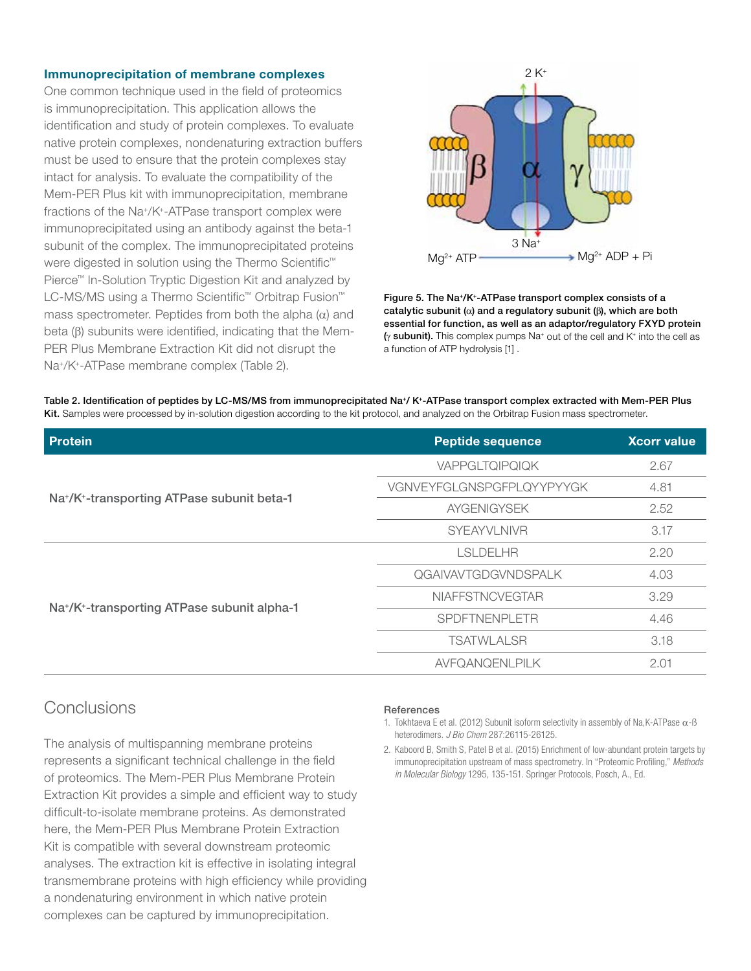### Immunoprecipitation of membrane complexes

One common technique used in the field of proteomics is immunoprecipitation. This application allows the identification and study of protein complexes. To evaluate native protein complexes, nondenaturing extraction buffers must be used to ensure that the protein complexes stay intact for analysis. To evaluate the compatibility of the Mem-PER Plus kit with immunoprecipitation, membrane fractions of the Na+/K+-ATPase transport complex were immunoprecipitated using an antibody against the beta-1 subunit of the complex. The immunoprecipitated proteins were digested in solution using the Thermo Scientific<sup>™</sup> Pierce™ In-Solution Tryptic Digestion Kit and analyzed by LC-MS/MS using a Thermo Scientific™ Orbitrap Fusion™ mass spectrometer. Peptides from both the alpha  $(\alpha)$  and beta  $(\beta)$  subunits were identified, indicating that the Mem-PER Plus Membrane Extraction Kit did not disrupt the Na+/K+-ATPase membrane complex (Table 2).



Figure 5. The Na+/K+-ATPase transport complex consists of a catalytic subunit ( $\alpha$ ) and a regulatory subunit ( $\beta$ ), which are both essential for function, as well as an adaptor/regulatory FXYD protein  $(y$  subunit). This complex pumps Na<sup>+</sup> out of the cell and K<sup>+</sup> into the cell as a function of ATP hydrolysis [1] .

| Table 2. Identification of peptides by LC-MS/MS from immunoprecipitated Na*/ K*-ATPase transport complex extracted with Mem-PER Plus       |
|--------------------------------------------------------------------------------------------------------------------------------------------|
| Kit. Samples were processed by in-solution digestion according to the kit protocol, and analyzed on the Orbitrap Fusion mass spectrometer. |

| <b>Protein</b>                                                       | <b>Peptide sequence</b>   |      |
|----------------------------------------------------------------------|---------------------------|------|
|                                                                      | VAPPGLTQIPQIQK            | 2.67 |
| Na <sup>+</sup> /K <sup>+</sup> -transporting ATPase subunit beta-1  | VGNVEYFGLGNSPGFPLQYYPYYGK | 4.81 |
|                                                                      | <b>AYGENIGYSEK</b>        | 2.52 |
|                                                                      | <b>SYEAYVLNIVR</b>        | 3.17 |
|                                                                      | LSLDELHR                  | 2.20 |
|                                                                      | QGAIVAVTGDGVNDSPALK       | 4.03 |
| Na <sup>+</sup> /K <sup>+</sup> -transporting ATPase subunit alpha-1 | <b>NIAFFSTNCVEGTAR</b>    | 3.29 |
|                                                                      | SPDFTNENPLETR             | 4.46 |
|                                                                      | <b>TSATWLALSR</b>         | 3.18 |
|                                                                      | AVFQANQENLPILK            | 2.01 |

## Conclusions

The analysis of multispanning membrane proteins represents a significant technical challenge in the field of proteomics. The Mem-PER Plus Membrane Protein Extraction Kit provides a simple and efficient way to study difficult-to-isolate membrane proteins. As demonstrated here, the Mem-PER Plus Membrane Protein Extraction Kit is compatible with several downstream proteomic analyses. The extraction kit is effective in isolating integral transmembrane proteins with high efficiency while providing a nondenaturing environment in which native protein complexes can be captured by immunoprecipitation.

#### **References**

- 1. Tokhtaeva E et al. (2012) Subunit isoform selectivity in assembly of Na, K-ATPase  $\alpha$ -B heterodimers. *J Bio Chem* 287:26115-26125.
- 2. Kaboord B, Smith S, Patel B et al. (2015) Enrichment of low-abundant protein targets by immunoprecipitation upstream of mass spectrometry. In "Proteomic Profiling," *Methods in Molecular Biology* 1295, 135-151. Springer Protocols, Posch, A., Ed.